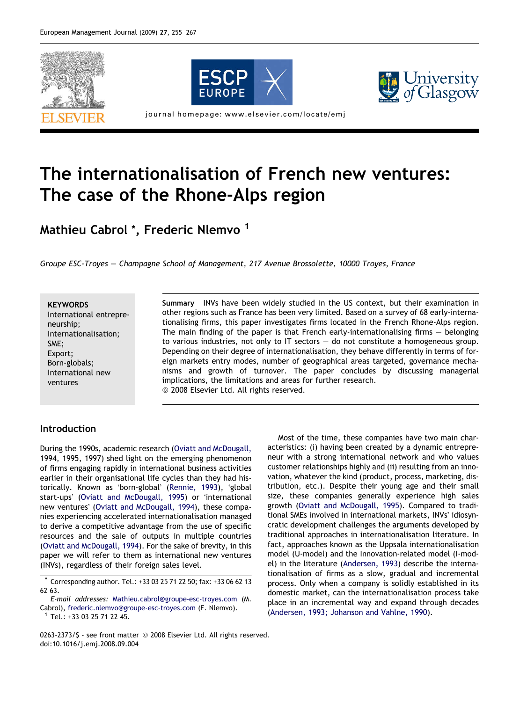





journal homepage: www.elsevier.com/locate/emj

# The internationalisation of French new ventures: The case of the Rhone-Alps region

Mathieu Cabrol<sup>\*</sup>, Frederic Nlemvo<sup>1</sup>

Groupe ESC-Troyes – Champagne School of Management, 217 Avenue Brossolette, 10000 Troyes, France

#### **KEYWORDS**

International entrepreneurship; Internationalisation; SME; Export; Born-globals; International new ventures

Summary INVs have been widely studied in the US context, but their examination in other regions such as France has been very limited. Based on a survey of 68 early-internationalising firms, this paper investigates firms located in the French Rhone-Alps region. The main finding of the paper is that French early-internationalising firms – belonging to various industries, not only to IT sectors – do not constitute a homogeneous group. Depending on their degree of internationalisation, they behave differently in terms of foreign markets entry modes, number of geographical areas targeted, governance mechanisms and growth of turnover. The paper concludes by discussing managerial implications, the limitations and areas for further research. © 2008 Elsevier Ltd. All rights reserved.

## Introduction

During the 1990s, academic research ([Oviatt and McDougall,](#page--1-0) [1994, 1995, 1997](#page--1-0)) shed light on the emerging phenomenon of firms engaging rapidly in international business activities earlier in their organisational life cycles than they had his-torically. Known as 'born-global' ([Rennie, 1993](#page--1-0)), 'global start-ups' [\(Oviatt and McDougall, 1995\)](#page--1-0) or 'international new ventures' [\(Oviatt and McDougall, 1994\)](#page--1-0), these companies experiencing accelerated internationalisation managed to derive a competitive advantage from the use of specific resources and the sale of outputs in multiple countries ([Oviatt and McDougall, 1994\)](#page--1-0). For the sake of brevity, in this paper we will refer to them as international new ventures (INVs), regardless of their foreign sales level.

E-mail addresses: [Mathieu.cabrol@groupe-esc-troyes.com](mailto:Mathieu.cabrol@groupe-esc-troyes.com) (M. Cabrol), [frederic.nlemvo@groupe-esc-troyes.com](mailto:frederic.nlemvo@groupe-esc-troyes.com) (F. Nlemvo). <sup>1</sup> Tel.: +33 03 25 71 22 45.

Most of the time, these companies have two main characteristics: (i) having been created by a dynamic entrepreneur with a strong international network and who values customer relationships highly and (ii) resulting from an innovation, whatever the kind (product, process, marketing, distribution, etc.). Despite their young age and their small size, these companies generally experience high sales growth ([Oviatt and McDougall, 1995](#page--1-0)). Compared to traditional SMEs involved in international markets, INVs' idiosyncratic development challenges the arguments developed by traditional approaches in internationalisation literature. In fact, approaches known as the Uppsala internationalisation model (U-model) and the Innovation-related model (I-model) in the literature ([Andersen, 1993\)](#page--1-0) describe the internationalisation of firms as a slow, gradual and incremental process. Only when a company is solidly established in its domestic market, can the internationalisation process take place in an incremental way and expand through decades ([Andersen, 1993; Johanson and Vahlne, 1990\)](#page--1-0).

0263-2373/\$ - see front matter © 2008 Elsevier Ltd. All rights reserved. doi:10.1016/j.emj.2008.09.004

<sup>\*</sup> Corresponding author. Tel.: +33 03 25 71 22 50; fax: +33 06 62 13 62 63.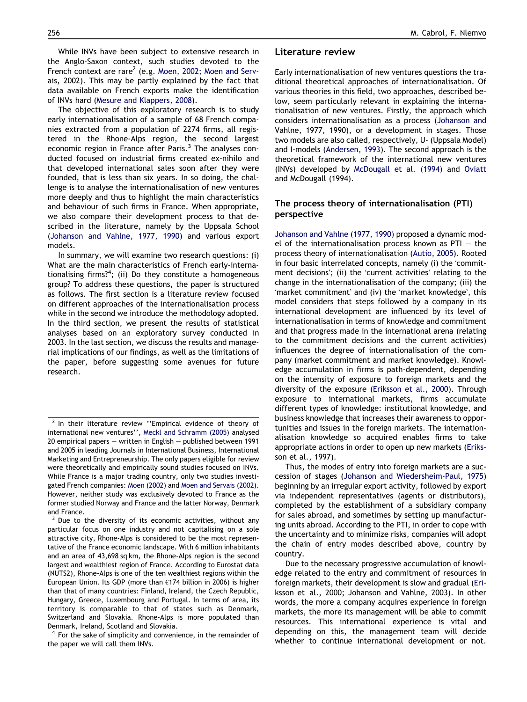While INVs have been subject to extensive research in the Anglo-Saxon context, such studies devoted to the French context are rare<sup>2</sup> (e.g. [Moen, 2002; Moen and Serv](#page--1-0)[ais, 2002\)](#page--1-0). This may be partly explained by the fact that data available on French exports make the identification of INVs hard [\(Mesure and Klappers, 2008\)](#page--1-0).

The objective of this exploratory research is to study early internationalisation of a sample of 68 French companies extracted from a population of 2274 firms, all registered in the Rhone-Alps region, the second largest economic region in France after Paris.<sup>3</sup> The analyses conducted focused on industrial firms created ex-nihilo and that developed international sales soon after they were founded, that is less than six years. In so doing, the challenge is to analyse the internationalisation of new ventures more deeply and thus to highlight the main characteristics and behaviour of such firms in France. When appropriate, we also compare their development process to that described in the literature, namely by the Uppsala School [\(Johanson and Vahlne, 1977, 1990\)](#page--1-0) and various export models.

In summary, we will examine two research questions: (i) What are the main characteristics of French early-internationalising firms?<sup>4</sup>; (ii) Do they constitute a homogeneous group? To address these questions, the paper is structured as follows. The first section is a literature review focused on different approaches of the internationalisation process while in the second we introduce the methodology adopted. In the third section, we present the results of statistical analyses based on an exploratory survey conducted in 2003. In the last section, we discuss the results and managerial implications of our findings, as well as the limitations of the paper, before suggesting some avenues for future research.

 $4$  For the sake of simplicity and convenience, in the remainder of the paper we will call them INVs.

#### Literature review

Early internationalisation of new ventures questions the traditional theoretical approaches of internationalisation. Of various theories in this field, two approaches, described below, seem particularly relevant in explaining the internationalisation of new ventures. Firstly, the approach which considers internationalisation as a process [\(Johanson and](#page--1-0) [Vahlne, 1977, 1990](#page--1-0)), or a development in stages. Those two models are also called, respectively, U- (Uppsala Model) and I-models ([Andersen, 1993](#page--1-0)). The second approach is the theoretical framework of the international new ventures (INVs) developed by [McDougall et al. \(1994\)](#page--1-0) and [Oviatt](#page--1-0) [and McDougall \(1994\).](#page--1-0)

### The process theory of internationalisation (PTI) perspective

[Johanson and Vahlne \(1977, 1990\)](#page--1-0) proposed a dynamic model of the internationalisation process known as  $PTI - the$ process theory of internationalisation ([Autio, 2005\)](#page--1-0). Rooted in four basic interrelated concepts, namely (i) the 'commitment decisions'; (ii) the 'current activities' relating to the change in the internationalisation of the company; (iii) the 'market commitment' and (iv) the 'market knowledge', this model considers that steps followed by a company in its international development are influenced by its level of internationalisation in terms of knowledge and commitment and that progress made in the international arena (relating to the commitment decisions and the current activities) influences the degree of internationalisation of the company (market commitment and market knowledge). Knowledge accumulation in firms is path-dependent, depending on the intensity of exposure to foreign markets and the diversity of the exposure ([Eriksson et al., 2000\)](#page--1-0). Through exposure to international markets, firms accumulate different types of knowledge: institutional knowledge, and business knowledge that increases their awareness to opportunities and issues in the foreign markets. The internationalisation knowledge so acquired enables firms to take appropriate actions in order to open up new markets ([Eriks](#page--1-0)[son et al., 1997\)](#page--1-0).

Thus, the modes of entry into foreign markets are a succession of stages ([Johanson and Wiedersheim-Paul, 1975\)](#page--1-0) beginning by an irregular export activity, followed by export via independent representatives (agents or distributors), completed by the establishment of a subsidiary company for sales abroad, and sometimes by setting up manufacturing units abroad. According to the PTI, in order to cope with the uncertainty and to minimize risks, companies will adopt the chain of entry modes described above, country by country.

Due to the necessary progressive accumulation of knowledge related to the entry and commitment of resources in foreign markets, their development is slow and gradual ([Eri](#page--1-0)[ksson et al., 2000; Johanson and Vahlne, 2003](#page--1-0)). In other words, the more a company acquires experience in foreign markets, the more its management will be able to commit resources. This international experience is vital and depending on this, the management team will decide whether to continue international development or not.

<sup>&</sup>lt;sup>2</sup> In their literature review "Empirical evidence of theory of international new ventures'', [Meckl and Schramm \(2005\)](#page--1-0) analysed 20 empirical papers – written in English – published between 1991 and 2005 in leading Journals in International Business, International Marketing and Entrepreneurship. The only papers eligible for review were theoretically and empirically sound studies focused on INVs. While France is a major trading country, only two studies investigated French companies: [Moen \(2002\)](#page--1-0) and [Moen and Servais \(2002\).](#page--1-0) However, neither study was exclusively devoted to France as the former studied Norway and France and the latter Norway, Denmark and France.

<sup>&</sup>lt;sup>3</sup> Due to the diversity of its economic activities, without any particular focus on one industry and not capitalising on a sole attractive city, Rhone-Alps is considered to be the most representative of the France economic landscape. With 6 million inhabitants and an area of 43,698 sq km, the Rhone-Alps region is the second largest and wealthiest region of France. According to Eurostat data (NUTS2), Rhone-Alps is one of the ten wealthiest regions within the European Union. Its GDP (more than €174 billion in 2006) is higher than that of many countries: Finland, Ireland, the Czech Republic, Hungary, Greece, Luxembourg and Portugal. In terms of area, its territory is comparable to that of states such as Denmark, Switzerland and Slovakia. Rhone-Alps is more populated than Denmark, Ireland, Scotland and Slovakia.